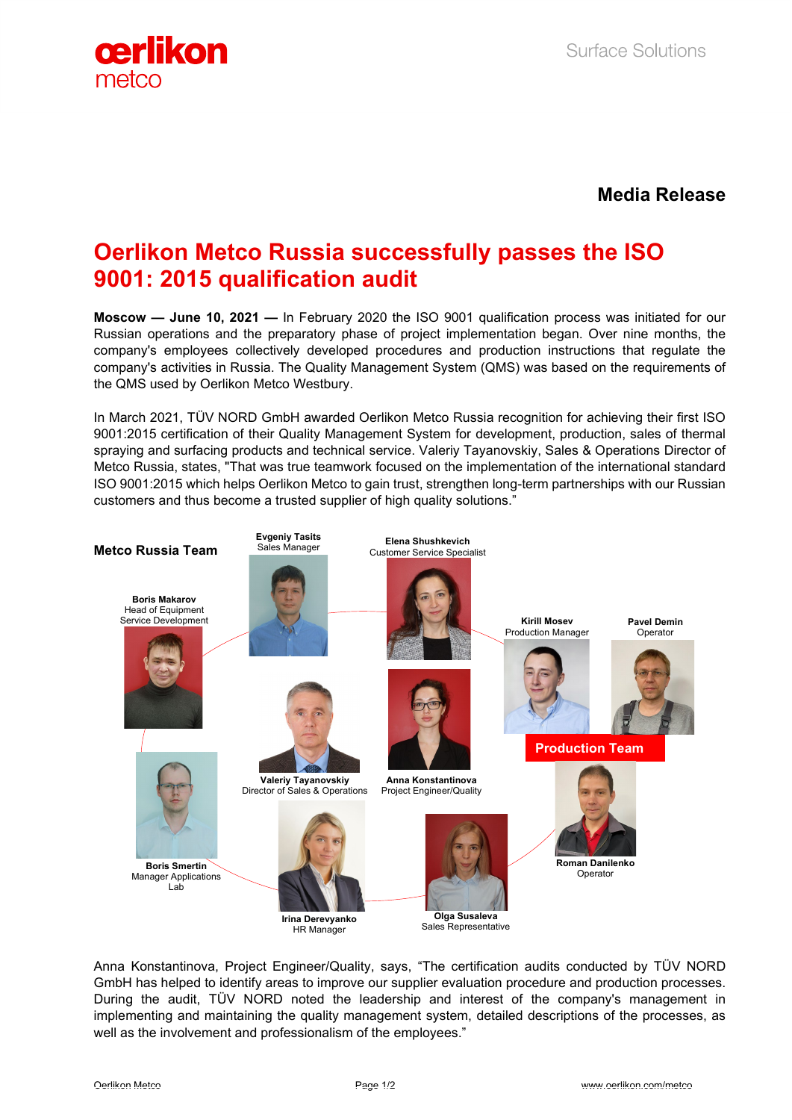

**Media Release**

## **Oerlikon Metco Russia successfully passes the ISO 9001: 2015 qualification audit**

**Moscow — June 10, 2021 —** In February 2020 the ISO 9001 qualification process was initiated for our Russian operations and the preparatory phase of project implementation began. Over nine months, the company's employees collectively developed procedures and production instructions that regulate the company's activities in Russia. The Quality Management System (QMS) was based on the requirements of the QMS used by Oerlikon Metco Westbury.

In March 2021, TÜV NORD GmbH awarded Oerlikon Metco Russia recognition for achieving their first ISO 9001:2015 certification of their Quality Management System for development, production, sales of thermal spraying and surfacing products and technical service. Valeriy Tayanovskiy, Sales & Operations Director of Metco Russia, states, "That was true teamwork focused on the implementation of the international standard ISO 9001:2015 which helps Oerlikon Metco to gain trust, strengthen long-term partnerships with our Russian customers and thus become a trusted supplier of high quality solutions."



Anna Konstantinova, Project Engineer/Quality, says, "The certification audits conducted by TÜV NORD GmbH has helped to identify areas to improve our supplier evaluation procedure and production processes. During the audit, TÜV NORD noted the leadership and interest of the company's management in implementing and maintaining the quality management system, detailed descriptions of the processes, as well as the involvement and professionalism of the employees."